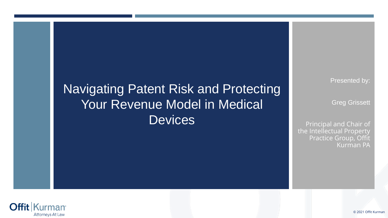# Navigating Patent Risk and Protecting Your Revenue Model in Medical **Devices**

Presented by:

Greg Grissett

Principal and Chair of the Intellectual Property Practice Group, Offit Kurman PA

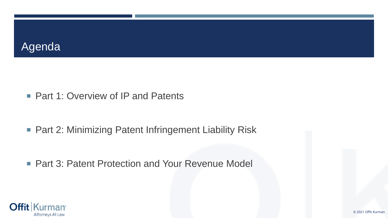### Agenda

■ Part 1: Overview of IP and Patents

■ Part 2: Minimizing Patent Infringement Liability Risk

■ Part 3: Patent Protection and Your Revenue Model

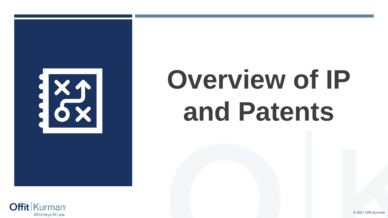

# **Overview of IP and Patents**

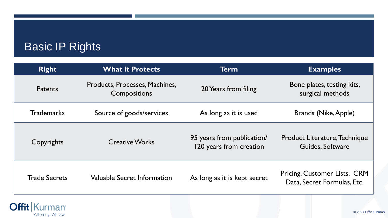# Basic IP Rights

| <b>Right</b>         | <b>What it Protects</b>                        | <b>Term</b>                                           | <b>Examples</b>                                             |
|----------------------|------------------------------------------------|-------------------------------------------------------|-------------------------------------------------------------|
| <b>Patents</b>       | Products, Processes, Machines,<br>Compositions | 20 Years from filing                                  | Bone plates, testing kits,<br>surgical methods              |
| <b>Trademarks</b>    | Source of goods/services                       | As long as it is used                                 | <b>Brands (Nike, Apple)</b>                                 |
| Copyrights           | <b>Creative Works</b>                          | 95 years from publication/<br>120 years from creation | Product Literature, Technique<br>Guides, Software           |
| <b>Trade Secrets</b> | Valuable Secret Information                    | As long as it is kept secret                          | Pricing, Customer Lists, CRM<br>Data, Secret Formulas, Etc. |

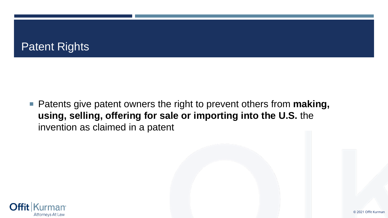

■ Patents give patent owners the right to prevent others from **making**, **using, selling, offering for sale or importing into the U.S.** the invention as claimed in a patent

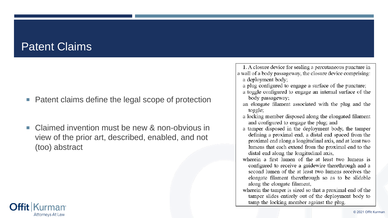## Patent Claims

- Patent claims define the legal scope of protection
- Claimed invention must be new & non-obvious in view of the prior art, described, enabled, and not (too) abstract

1. A closure device for sealing a percutaneous puncture in a wall of a body passageway, the closure device comprising: a deployment body;

- a plug configured to engage a surface of the puncture;
- a toggle configured to engage an internal surface of the body passageway;
- an elongate filament associated with the plug and the toggle;
- a locking member disposed along the elongated filament and configured to engage the plug; and
- a tamper disposed in the deployment body, the tamper defining a proximal end, a distal end spaced from the proximal end along a longitudinal axis, and at least two lumens that each extend from the proximal end to the distal end along the longitudinal axis,
- wherein a first lumen of the at least two lumens is configured to receive a guidewire therethrough and a second lumen of the at least two lumens receives the elongate filament therethrough so as to be slidable along the elongate filament,
- wherein the tamper is sized so that a proximal end of the tamper slides entirely out of the deployment body to tamp the locking member against the plug.

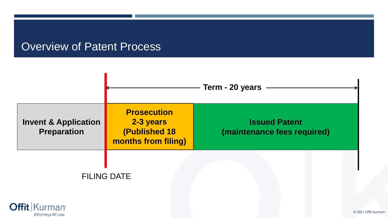#### Overview of Patent Process

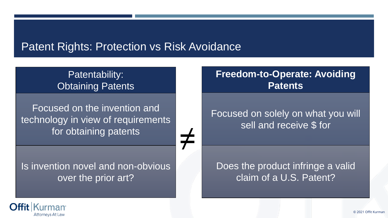### Patent Rights: Protection vs Risk Avoidance

≠

#### Patentability: Obtaining Patents

Focused on the invention and technology in view of requirements for obtaining patents

Is invention novel and non-obvious over the prior art?

#### **Freedom-to-Operate: Avoiding Patents**

Focused on solely on what you will sell and receive \$ for

#### Does the product infringe a valid claim of a U.S. Patent?

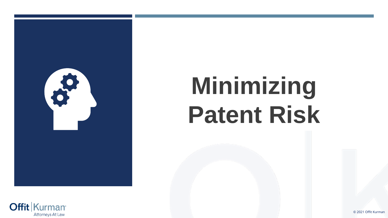

# **Minimizing Patent Risk**

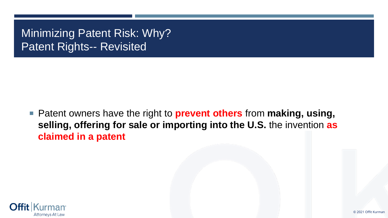# Minimizing Patent Risk: Why? Patent Rights-- Revisited

■ Patent owners have the right to **prevent others** from **making**, using, **selling, offering for sale or importing into the U.S.** the invention **as claimed in a patent**

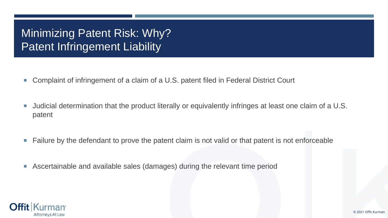# Minimizing Patent Risk: Why? Patent Infringement Liability

- Complaint of infringement of a claim of a U.S. patent filed in Federal District Court
- Judicial determination that the product literally or equivalently infringes at least one claim of a U.S. patent
- Failure by the defendant to prove the patent claim is not valid or that patent is not enforceable
- Ascertainable and available sales (damages) during the relevant time period

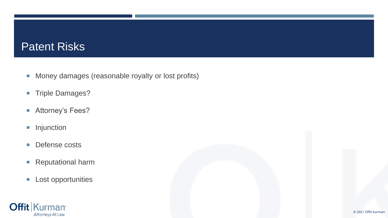#### Patent Risks

- **Money damages (reasonable royalty or lost profits)**
- **Triple Damages?**
- Attorney's Fees?
- **Injunction**
- **Defense costs**
- Reputational harm
- **Lost opportunities**

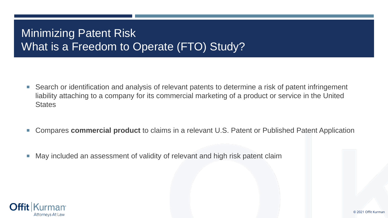# Minimizing Patent Risk What is a Freedom to Operate (FTO) Study?

- Search or identification and analysis of relevant patents to determine a risk of patent infringement liability attaching to a company for its commercial marketing of a product or service in the United **States**
- Compares **commercial product** to claims in a relevant U.S. Patent or Published Patent Application
- May included an assessment of validity of relevant and high risk patent claim

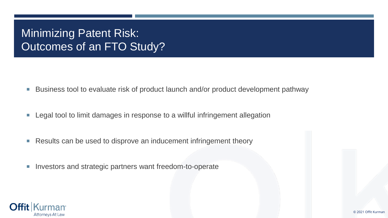# Minimizing Patent Risk: Outcomes of an FTO Study?

- Business tool to evaluate risk of product launch and/or product development pathway
- **Legal tool to limit damages in response to a willful infringement allegation**
- Results can be used to disprove an inducement infringement theory
- **Investors and strategic partners want freedom-to-operate**

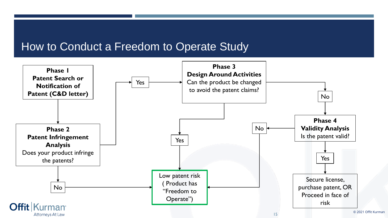#### How to Conduct a Freedom to Operate Study

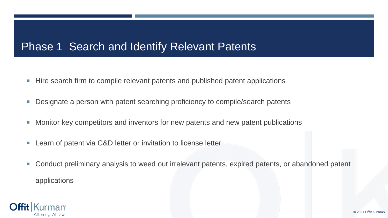## Phase 1 Search and Identify Relevant Patents

- Hire search firm to compile relevant patents and published patent applications
- **Designate a person with patent searching proficiency to compile/search patents**
- **Monitor key competitors and inventors for new patents and new patent publications**
- Learn of patent via C&D letter or invitation to license letter
- Conduct preliminary analysis to weed out irrelevant patents, expired patents, or abandoned patent applications

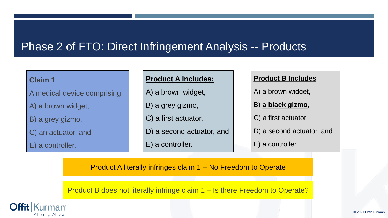## Phase 2 of FTO: Direct Infringement Analysis -- Products

#### **Claim 1**

A medical device comprising:

A) a brown widget,

B) a grey gizmo,

C) an actuator, and

E) a controller.

#### **Product A Includes:**

A) a brown widget,

B) a grey gizmo,

C) a first actuator,

D) a second actuator, and

E) a controller.

#### **Product B Includes**

A) a brown widget,

B) **a black gizmo**,

C) a first actuator,

D) a second actuator, and

E) a controller.

Product A literally infringes claim 1 – No Freedom to Operate

Product B does not literally infringe claim 1 – Is there Freedom to Operate?

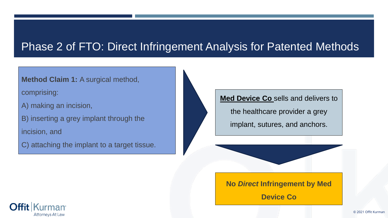## Phase 2 of FTO: Direct Infringement Analysis for Patented Methods

#### **Method Claim 1: A surgical method,**

comprising:

A) making an incision,

B) inserting a grey implant through the

incision, and

C) attaching the implant to a target tissue.

**Med Device Co** sells and delivers to

the healthcare provider a grey

implant, sutures, and anchors.

**No** *Direct* **Infringement by Med** 

**Device Co**

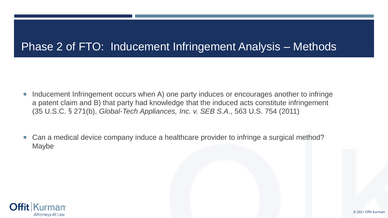## Phase 2 of FTO: Inducement Infringement Analysis – Methods

- **Inducement Infringement occurs when A) one party induces or encourages another to infringe** a patent claim and B) that party had knowledge that the induced acts constitute infringement (35 U.S.C. § 271(b), *Global-Tech Appliances, Inc. v. SEB S.A*., 563 U.S. 754 (2011)
- Can a medical device company induce a healthcare provider to infringe a surgical method? Maybe

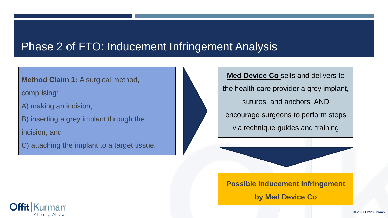### Phase 2 of FTO: Inducement Infringement Analysis

#### **Method Claim 1:** A surgical method,

comprising:

A) making an incision,

B) inserting a grey implant through the

incision, and

C) attaching the implant to a target tissue.

**Med Device Co** sells and delivers to the health care provider a grey implant, sutures, and anchors AND encourage surgeons to perform steps via technique guides and training

**Possible Inducement Infringement** 

**by Med Device Co**

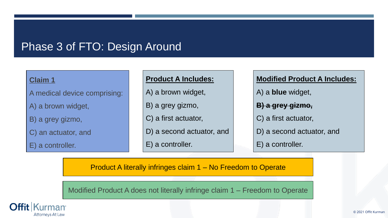#### Phase 3 of FTO: Design Around

#### **Claim 1**

A medical device comprising:

A) a brown widget,

B) a grey gizmo,

C) an actuator, and

E) a controller.

#### **Product A Includes:**

A) a brown widget,

B) a grey gizmo,

C) a first actuator,

D) a second actuator, and

E) a controller.

**Modified Product A Includes:**

A) a **blue** widget,

**B) a grey gizmo,**

C) a first actuator,

D) a second actuator, and

E) a controller.

Product A literally infringes claim 1 – No Freedom to Operate

Modified Product A does not literally infringe claim 1 – Freedom to Operate

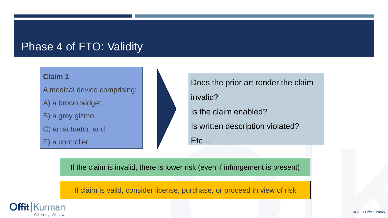### Phase 4 of FTO: Validity

#### **Claim 1**

A medical device comprising:

A) a brown widget,

B) a grey gizmo,

C) an actuator, and

E) a controller.



Does the prior art render the claim

invalid?

Is the claim enabled?

Is written description violated?

Etc…

If the claim is invalid, there is lower risk (even if infringement is present)

If claim is valid, consider license, purchase, or proceed in view of risk

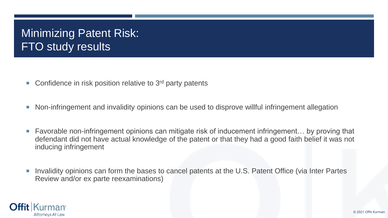# Minimizing Patent Risk: **FTO study results**

- Confidence in risk position relative to  $3<sup>rd</sup>$  party patents
- Non-infringement and invalidity opinions can be used to disprove willful infringement allegation
- Favorable non-infringement opinions can mitigate risk of inducement infringement... by proving that defendant did not have actual knowledge of the patent or that they had a good faith belief it was not inducing infringement
- Invalidity opinions can form the bases to cancel patents at the U.S. Patent Office (via Inter Partes Review and/or ex parte reexaminations)

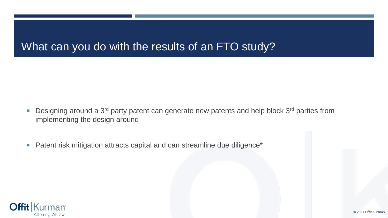## What can you do with the results of an FTO study?

- **Designing around a 3<sup>rd</sup> party patent can generate new patents and help block 3<sup>rd</sup> parties from** implementing the design around
- Patent risk mitigation attracts capital and can streamline due diligence<sup>\*</sup>

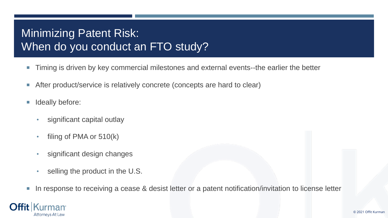# Minimizing Patent Risk: When do you conduct an FTO study?

- **Timing is driven by key commercial milestones and external events--the earlier the better**
- After product/service is relatively concrete (concepts are hard to clear)
- **I** Ideally before:
	- significant capital outlay
	- filing of PMA or 510(k)
	- significant design changes
	- selling the product in the U.S.
- In response to receiving a cease & desist letter or a patent notification/invitation to license letter

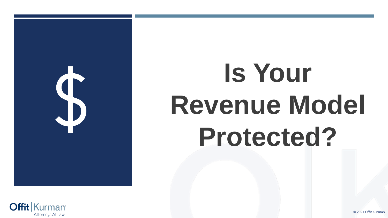

# **Is Your Revenue Model Protected?**

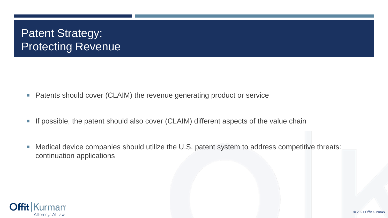# Patent Strategy: **Protecting Revenue**

- Patents should cover (CLAIM) the revenue generating product or service
- If possible, the patent should also cover (CLAIM) different aspects of the value chain
- Medical device companies should utilize the U.S. patent system to address competitive threats: continuation applications

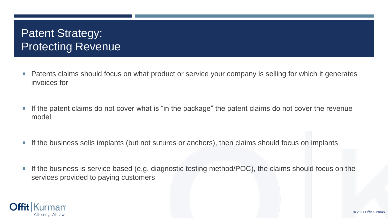# Patent Strategy: **Protecting Revenue**

- **Patents claims should focus on what product or service your company is selling for which it generates** invoices for
- **If the patent claims do not cover what is "in the package" the patent claims do not cover the revenue** model
- If the business sells implants (but not sutures or anchors), then claims should focus on implants
- If the business is service based (e.g. diagnostic testing method/POC), the claims should focus on the services provided to paying customers

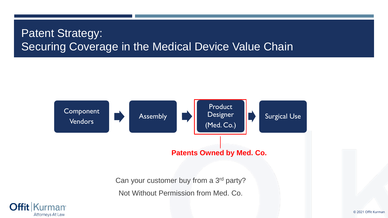# Patent Strategy: Securing Coverage in the Medical Device Value Chain



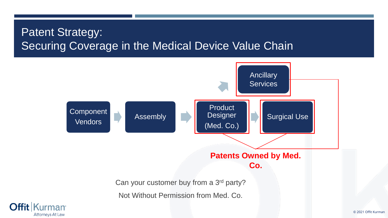# **Patent Strategy:** Securing Coverage in the Medical Device Value Chain



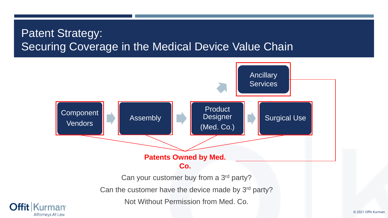# Patent Strategy: Securing Coverage in the Medical Device Value Chain

**Offit** 

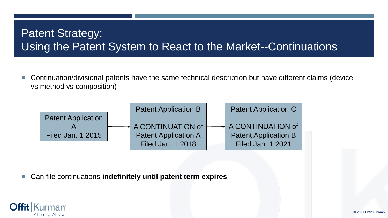# Patent Strategy: Using the Patent System to React to the Market--Continuations

 Continuation/divisional patents have the same technical description but have different claims (device vs method vs composition)



Can file continuations **indefinitely until patent term expires**

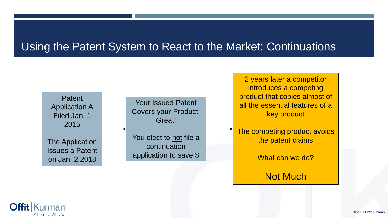## Using the Patent System to React to the Market: Continuations



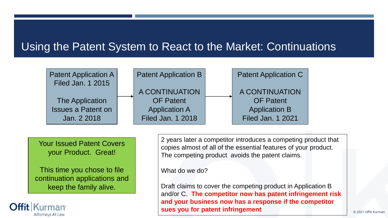## Using the Patent System to React to the Market: Continuations



Your Issued Patent Covers your Product. Great!

This time you chose to file continuation applications and keep the family alive.

**urman** 

**Attorneys At Law** 

2 years later a competitor introduces a competing product that copies almost of all of the essential features of your product. The competing product avoids the patent claims.

What do we do?

Draft claims to cover the competing product in Application B and/or C. **The competitor now has patent infringement risk and your business now has a response if the competitor SUES you for patent infringement**  $\bigcup_{\text{Q 2021 Offit Kurman}}$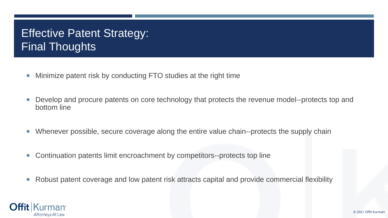# **Effective Patent Strategy:** Final Thoughts

- **Minimize patent risk by conducting FTO studies at the right time**
- **Develop and procure patents on core technology that protects the revenue model--protects top and** bottom line
- Whenever possible, secure coverage along the entire value chain--protects the supply chain
- Continuation patents limit encroachment by competitors--protects top line
- Robust patent coverage and low patent risk attracts capital and provide commercial flexibility